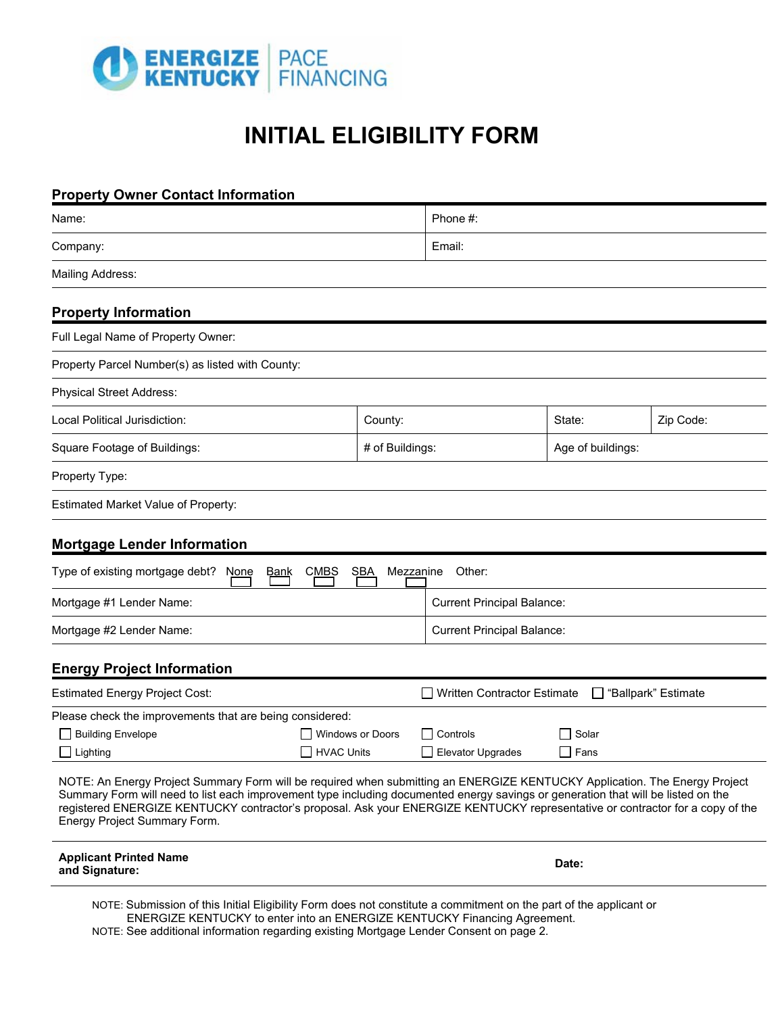

# **INITIAL ELIGIBILITY FORM**

| <b>Property Owner Contact Information</b>                                                                                                                                                                                                                                                                                                                                                                                        |                                          |                         |                                                        |                   |           |  |
|----------------------------------------------------------------------------------------------------------------------------------------------------------------------------------------------------------------------------------------------------------------------------------------------------------------------------------------------------------------------------------------------------------------------------------|------------------------------------------|-------------------------|--------------------------------------------------------|-------------------|-----------|--|
| Name:                                                                                                                                                                                                                                                                                                                                                                                                                            |                                          |                         | Phone #:                                               |                   |           |  |
| Company:                                                                                                                                                                                                                                                                                                                                                                                                                         |                                          |                         | Email:                                                 |                   |           |  |
| <b>Mailing Address:</b>                                                                                                                                                                                                                                                                                                                                                                                                          |                                          |                         |                                                        |                   |           |  |
| <b>Property Information</b>                                                                                                                                                                                                                                                                                                                                                                                                      |                                          |                         |                                                        |                   |           |  |
| Full Legal Name of Property Owner:                                                                                                                                                                                                                                                                                                                                                                                               |                                          |                         |                                                        |                   |           |  |
| Property Parcel Number(s) as listed with County:                                                                                                                                                                                                                                                                                                                                                                                 |                                          |                         |                                                        |                   |           |  |
| <b>Physical Street Address:</b>                                                                                                                                                                                                                                                                                                                                                                                                  |                                          |                         |                                                        |                   |           |  |
| Local Political Jurisdiction:                                                                                                                                                                                                                                                                                                                                                                                                    |                                          | County:                 |                                                        | State:            | Zip Code: |  |
| Square Footage of Buildings:                                                                                                                                                                                                                                                                                                                                                                                                     |                                          | # of Buildings:         |                                                        | Age of buildings: |           |  |
| Property Type:                                                                                                                                                                                                                                                                                                                                                                                                                   |                                          |                         |                                                        |                   |           |  |
| <b>Estimated Market Value of Property:</b>                                                                                                                                                                                                                                                                                                                                                                                       |                                          |                         |                                                        |                   |           |  |
| <b>Mortgage Lender Information</b>                                                                                                                                                                                                                                                                                                                                                                                               |                                          |                         |                                                        |                   |           |  |
| Type of existing mortgage debt? None                                                                                                                                                                                                                                                                                                                                                                                             | <b>CMBS</b><br><b>SBA</b><br><u>Bank</u> | Mezzanine               | Other:                                                 |                   |           |  |
| Mortgage #1 Lender Name:                                                                                                                                                                                                                                                                                                                                                                                                         |                                          |                         | <b>Current Principal Balance:</b>                      |                   |           |  |
| Mortgage #2 Lender Name:                                                                                                                                                                                                                                                                                                                                                                                                         |                                          |                         | <b>Current Principal Balance:</b>                      |                   |           |  |
| <b>Energy Project Information</b>                                                                                                                                                                                                                                                                                                                                                                                                |                                          |                         |                                                        |                   |           |  |
| <b>Estimated Energy Project Cost:</b>                                                                                                                                                                                                                                                                                                                                                                                            |                                          |                         | □ Written Contractor Estimate<br>□ "Ballpark" Estimate |                   |           |  |
| Please check the improvements that are being considered:                                                                                                                                                                                                                                                                                                                                                                         |                                          |                         |                                                        |                   |           |  |
| <b>Building Envelope</b>                                                                                                                                                                                                                                                                                                                                                                                                         |                                          | <b>Windows or Doors</b> |                                                        | Solar             |           |  |
| Lighting                                                                                                                                                                                                                                                                                                                                                                                                                         |                                          | <b>HVAC Units</b>       |                                                        | ∣ Fans            |           |  |
| NOTE: An Energy Project Summary Form will be required when submitting an ENERGIZE KENTUCKY Application. The Energy Project<br>Summary Form will need to list each improvement type including documented energy savings or generation that will be listed on the<br>registered ENERGIZE KENTUCKY contractor's proposal. Ask your ENERGIZE KENTUCKY representative or contractor for a copy of the<br>Energy Project Summary Form. |                                          |                         |                                                        |                   |           |  |
| <b>Applicant Printed Name</b>                                                                                                                                                                                                                                                                                                                                                                                                    |                                          |                         |                                                        |                   |           |  |

NOTE: Submission of this Initial Eligibility Form does not constitute a commitment on the part of the applicant or ENERGIZE KENTUCKY to enter into an ENERGIZE KENTUCKY Financing Agreement.

NOTE: See additional information regarding existing Mortgage Lender Consent on page 2.

**and Signature: Date: Date: Date:** *Date:* **<b>Date:** *Date: Date: Date:*